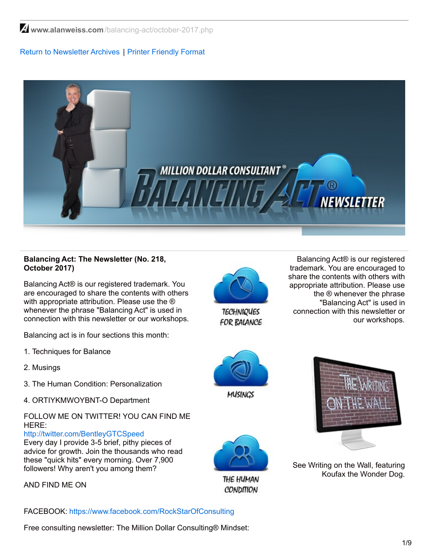$\triangleq$  www.alanweiss.com[/balancing-act/october-2017.php](https://www.alanweiss.com/balancing-act/october-2017.php)

# Return to [Newsletter](http://www.alanweiss.com/balancing-act-newsletter/) Archives | Printer [Friendly](http://www.alanweiss.com/balancing-act/october-2017.pdf) Format



## **Balancing Act: The Newsletter (No. 218, October 2017)**

Balancing Act® is our registered trademark. You are encouraged to share the contents with others with appropriate attribution. Please use the  $\circledR$ whenever the phrase "Balancing Act" is used in connection with this newsletter or our workshops.

Balancing act is in four sections this month:

- 1. Techniques for Balance
- 2. Musings
- 3. The Human Condition: Personalization
- 4. ORTIYKMWOYBNT-O Department

# FOLLOW ME ON TWITTER! YOU CAN FIND ME HERE:

<http://twitter.com/BentleyGTCSpeed>

Every day I provide 3-5 brief, pithy pieces of advice for growth. Join the thousands who read these "quick hits" every morning. Over 7,900 followers! Why aren't you among them?

AND FIND ME ON

FACEBOOK: [https://www.facebook.com/RockStarOfConsulting](http://www.facebook.com/profile.php?id=788474935&ref=profile)

Free consulting newsletter: The Million Dollar Consulting® Mindset:



**TECHNIQUES** FOR BALANCE

Balancing Act® is our registered trademark. You are encouraged to share the contents with others with appropriate attribution. Please use the ® whenever the phrase "Balancing Act" is used in connection with this newsletter or our workshops.



THE HUMAN **CONDITION** 



See Writing on the Wall, featuring Koufax the Wonder Dog.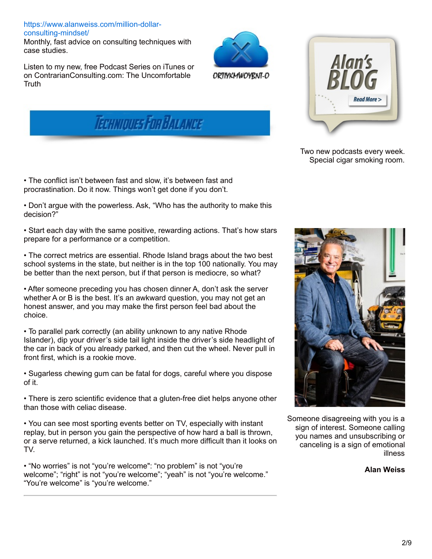# [https://www.alanweiss.com/million-dollar](https://www.alanweiss.com/million-dollar-consulting-mindset/)consulting-mindset/

Monthly, fast advice on consulting techniques with case studies.

ORTIYKMWOYRNT-O





• The conflict isn't between fast and slow, it's between fast and procrastination. Do it now. Things won't get done if you don't.

• Don't argue with the powerless. Ask, "Who has the authority to make this decision?"

• Start each day with the same positive, rewarding actions. That's how stars prepare for a performance or a competition.

• The correct metrics are essential. Rhode Island brags about the two best school systems in the state, but neither is in the top 100 nationally. You may be better than the next person, but if that person is mediocre, so what?

• After someone preceding you has chosen dinner A, don't ask the server whether A or B is the best. It's an awkward question, you may not get an honest answer, and you may make the first person feel bad about the choice.

• To parallel park correctly (an ability unknown to any native Rhode Islander), dip your driver's side tail light inside the driver's side headlight of the car in back of you already parked, and then cut the wheel. Never pull in front first, which is a rookie move.

• Sugarless chewing gum can be fatal for dogs, careful where you dispose of it.

• There is zero scientific evidence that a gluten-free diet helps anyone other than those with celiac disease.

• You can see most sporting events better on TV, especially with instant replay, but in person you gain the perspective of how hard a ball is thrown, or a serve returned, a kick launched. It's much more difficult than it looks on TV.

• "No worries" is not "you're welcome": "no problem" is not "you're welcome"; "right" is not "you're welcome"; "yeah" is not "you're welcome." "You're welcome" is "you're welcome."



Two new podcasts every week. Special cigar smoking room.



Someone disagreeing with you is a sign of interest. Someone calling you names and unsubscribing or canceling is a sign of emotional illness

**Alan Weiss**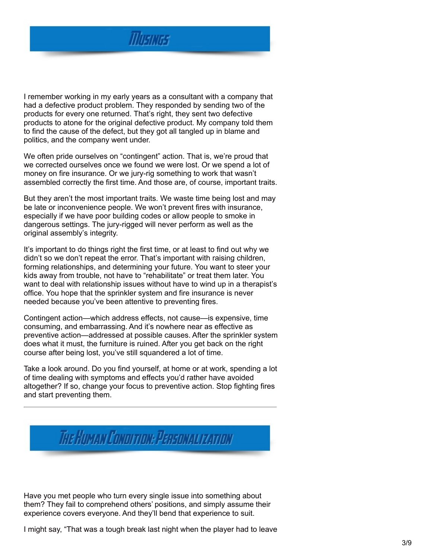

I remember working in my early years as a consultant with a company that had a defective product problem. They responded by sending two of the products for every one returned. That's right, they sent two defective products to atone for the original defective product. My company told them to find the cause of the defect, but they got all tangled up in blame and politics, and the company went under.

We often pride ourselves on "contingent" action. That is, we're proud that we corrected ourselves once we found we were lost. Or we spend a lot of money on fire insurance. Or we jury-rig something to work that wasn't assembled correctly the first time. And those are, of course, important traits.

But they aren't the most important traits. We waste time being lost and may be late or inconvenience people. We won't prevent fires with insurance, especially if we have poor building codes or allow people to smoke in dangerous settings. The jury-rigged will never perform as well as the original assembly's integrity.

It's important to do things right the first time, or at least to find out why we didn't so we don't repeat the error. That's important with raising children, forming relationships, and determining your future. You want to steer your kids away from trouble, not have to "rehabilitate" or treat them later. You want to deal with relationship issues without have to wind up in a therapist's office. You hope that the sprinkler system and fire insurance is never needed because you've been attentive to preventing fires.

Contingent action—which address effects, not cause—is expensive, time consuming, and embarrassing. And it's nowhere near as effective as preventive action—addressed at possible causes. After the sprinkler system does what it must, the furniture is ruined. After you get back on the right course after being lost, you've still squandered a lot of time.

Take a look around. Do you find yourself, at home or at work, spending a lot of time dealing with symptoms and effects you'd rather have avoided altogether? If so, change your focus to preventive action. Stop fighting fires and start preventing them.



Have you met people who turn every single issue into something about them? They fail to comprehend others' positions, and simply assume their experience covers everyone. And they'll bend that experience to suit.

I might say, "That was a tough break last night when the player had to leave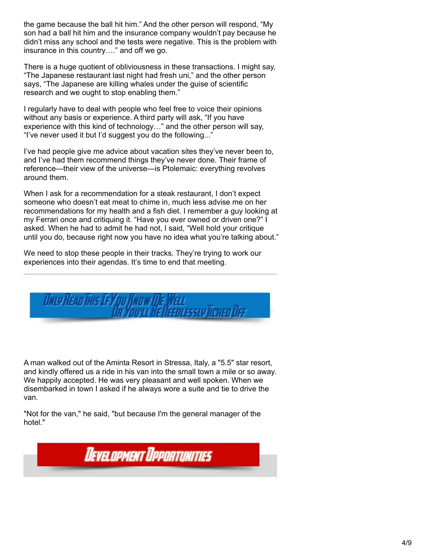the game because the ball hit him." And the other person will respond, "My son had a ball hit him and the insurance company wouldn't pay because he didn't miss any school and the tests were negative. This is the problem with insurance in this country…." and off we go.

There is a huge quotient of obliviousness in these transactions. I might say, "The Japanese restaurant last night had fresh uni," and the other person says, "The Japanese are killing whales under the guise of scientific research and we ought to stop enabling them."

I regularly have to deal with people who feel free to voice their opinions without any basis or experience. A third party will ask, "If you have experience with this kind of technology…" and the other person will say, "I've never used it but I'd suggest you do the following..."

I've had people give me advice about vacation sites they've never been to, and I've had them recommend things they've never done. Their frame of reference—their view of the universe—is Ptolemaic: everything revolves around them.

When I ask for a recommendation for a steak restaurant, I don't expect someone who doesn't eat meat to chime in, much less advise me on her recommendations for my health and a fish diet. I remember a guy looking at my Ferrari once and critiquing it. "Have you ever owned or driven one?" I asked. When he had to admit he had not, I said, "Well hold your critique until you do, because right now you have no idea what you're talking about."

We need to stop these people in their tracks. They're trying to work our experiences into their agendas. It's time to end that meeting.

*Unu Han This Tey ou Know The Wan HETISENLESSLYTTEHEN TISE* 

A man walked out of the Aminta Resort in Stressa, Italy, a "5.5" star resort, and kindly offered us a ride in his van into the small town a mile or so away. We happily accepted. He was very pleasant and well spoken. When we disembarked in town I asked if he always wore a suite and tie to drive the van.

"Not for the van," he said, "but because I'm the general manager of the hotel."

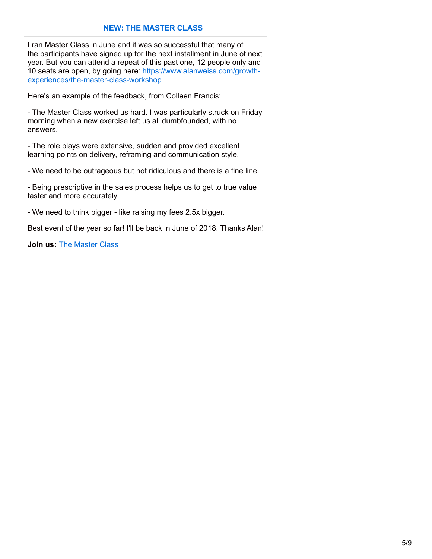# **NEW: THE [MASTER](https://www.alanweiss.com/growth-experiences/the-master-class-workshop/) CLASS**

I ran Master Class in June and it was so successful that many of the participants have signed up for the next installment in June of next year. But you can attend a repeat of this past one, 12 people only and 10 seats are open, by going here: https://www.alanweiss.com/growth[experiences/the-master-class-workshop](https://www.alanweiss.com/growth-experiences/the-master-class-workshop)

Here's an example of the feedback, from Colleen Francis:

- The Master Class worked us hard. I was particularly struck on Friday morning when a new exercise left us all dumbfounded, with no answers.

- The role plays were extensive, sudden and provided excellent learning points on delivery, reframing and communication style.

- We need to be outrageous but not ridiculous and there is a fine line.

- Being prescriptive in the sales process helps us to get to true value faster and more accurately.

- We need to think bigger - like raising my fees 2.5x bigger.

Best event of the year so far! I'll be back in June of 2018. Thanks Alan!

**Join us:** The [Master](http://www.alanweiss.com/growth-experiences/the-master-class-workshop/) Class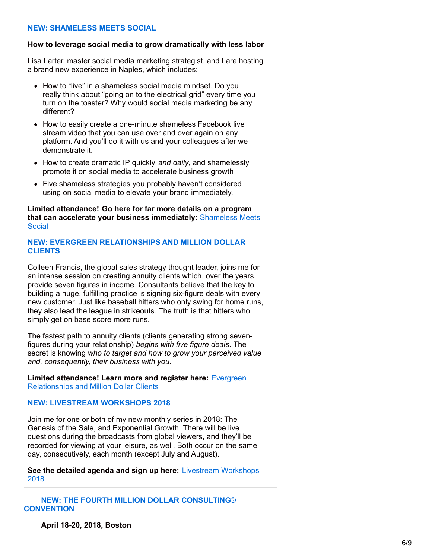#### **NEW: [SHAMELESS](https://www.alanweiss.com/growth-experiences/shameless-meets-social/) MEETS SOCIAL**

#### **How to leverage social media to grow dramatically with less labor**

Lisa Larter, master social media marketing strategist, and I are hosting a brand new experience in Naples, which includes:

- How to "live" in a shameless social media mindset. Do you really think about "going on to the electrical grid" every time you turn on the toaster? Why would social media marketing be any different?
- How to easily create a one-minute shameless Facebook live stream video that you can use over and over again on any platform. And you'll do it with us and your colleagues after we demonstrate it.
- How to create dramatic IP quickly *and daily*, and shamelessly promote it on social media to accelerate business growth
- Five shameless strategies you probably haven't considered using on social media to elevate your brand immediately.

**Limited attendance! Go here for far more details on a program that can accelerate your business [immediately:](https://www.alanweiss.com/growth-experiences/shameless-meets-social/)** Shameless Meets Social

#### **NEW: EVERGREEN [RELATIONSHIPS](https://www.alanweiss.com/growth-experiences/never-ending-value-evergreen-relationships-lifelong-business/) AND MILLION DOLLAR CLIENTS**

Colleen Francis, the global sales strategy thought leader, joins me for an intense session on creating annuity clients which, over the years, provide seven figures in income. Consultants believe that the key to building a huge, fulfilling practice is signing six-figure deals with every new customer. Just like baseball hitters who only swing for home runs, they also lead the league in strikeouts. The truth is that hitters who simply get on base score more runs.

The fastest path to annuity clients (clients generating strong sevenfigures during your relationship) *begins with five figure deals*. The secret is knowing *who to target and how to grow your perceived value and, consequently, their business with you.*

**Limited [attendance!](https://www.alanweiss.com/growth-experiences/never-ending-value-evergreen-relationships-lifelong-business/) Learn more and register here:** Evergreen Relationships and Million Dollar Clients

#### **NEW: LIVESTREAM [WORKSHOPS](https://www.alanweiss.com/growth-experiences/livestream-experiences-2018/) 2018**

Join me for one or both of my new monthly series in 2018: The Genesis of the Sale, and Exponential Growth. There will be live questions during the broadcasts from global viewers, and they'll be recorded for viewing at your leisure, as well. Both occur on the same day, consecutively, each month (except July and August).

**See the detailed agenda and sign up here:** [Livestream](https://www.alanweiss.com/growth-experiences/livestream-experiences-2018/) Workshops 2018

**NEW: THE FOURTH MILLION DOLLAR [CONSULTING](https://www.alanweiss.com/growth-experiences/million-dollar-consulting-convention-2018/)**[®](https://www.alanweiss.com/growth-experiences/million-dollar-consulting-convention-2018/) **[CONVENTION](https://www.alanweiss.com/growth-experiences/million-dollar-consulting-convention-2018/)**

**April 18-20, 2018, Boston**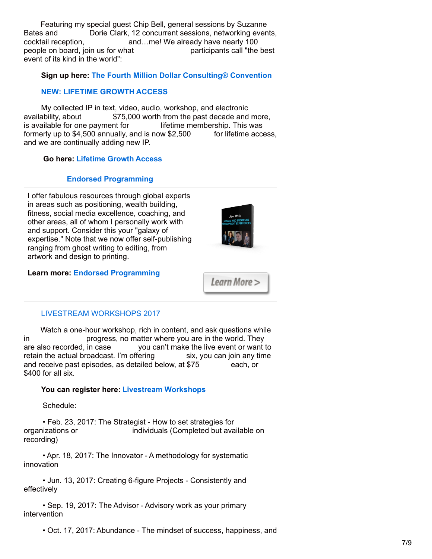Featuring my special guest Chip Bell, general sessions by Suzanne Bates and Dorie Clark, 12 concurrent sessions, networking events, cocktail reception, and…me! We already have nearly 100 people on board, join us for what participants call "the best event of its kind in the world":

# **Sign up here: The Fourth Million Dollar [Consulting®](https://www.alanweiss.com/growth-experiences/million-dollar-consulting-convention-2018/) Convention**

# **NEW: [LIFETIME](https://www.alanweiss.com/store/online-learning/alans-million-dollar-consulting-growth-access/) GROWTH ACCESS**

My collected IP in text, video, audio, workshop, and electronic availability, about \$75,000 worth from the past decade and more, is available for one payment for lifetime membership. This was formerly up to  $$4,500$  annually, and is now  $$2,500$  for lifetime access, and we are continually adding new IP.

# **Go here: [Lifetime](https://www.alanweiss.com/store/online-learning/alans-million-dollar-consulting-growth-access/) Growth Access**

## **Endorsed [Programming](http://www.alanweiss.com/growth-experiences/licensed-and-endorsed-development-experiences/)**

I offer fabulous resources through global experts in areas such as positioning, wealth building, fitness, social media excellence, coaching, and other areas, all of whom I personally work with and support. Consider this your "galaxy of expertise." Note that we now offer self-publishing ranging from ghost writing to editing, from artwork and design to printing.



### **Learn more: Endorsed [Programming](http://www.alanweiss.com/growth-experiences/licensed-and-endorsed-development-experiences/)**

Learn More >

## LIVESTREAM [WORKSHOPS](https://www.alanweiss.com/growth-experiences/livestream-workshops/) 2017

Watch a one-hour workshop, rich in content, and ask questions while in progress, no matter where you are in the world. They are also recorded, in case you can't make the live event or want to retain the actual broadcast. I'm offering six, you can join any time and receive past episodes, as detailed below, at \$75 each, or \$400 for all six.

## **You can register here: Livestream [Workshops](https://www.alanweiss.com/growth-experiences/livestream-workshops/)**

Schedule:

• Feb. 23, 2017: The Strategist - How to set strategies for organizations or individuals (Completed but available on recording)

• Apr. 18, 2017: The Innovator - A methodology for systematic innovation

• Jun. 13, 2017: Creating 6-figure Projects - Consistently and effectively

• Sep. 19, 2017: The Advisor - Advisory work as your primary intervention

• Oct. 17, 2017: Abundance - The mindset of success, happiness, and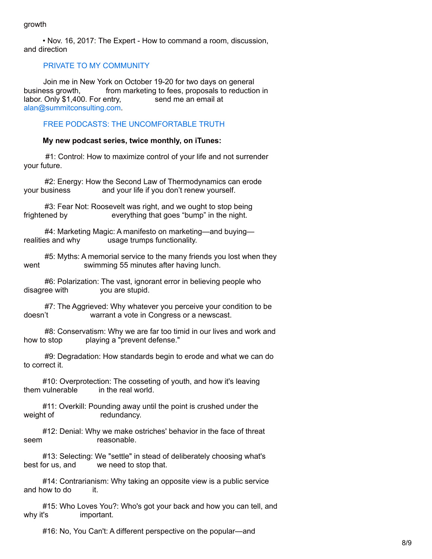• Nov. 16, 2017: The Expert - How to command a room, discussion, and direction

# PRIVATE TO MY [COMMUNITY](mailto:alan@summitconsulting.com)

Join me in New York on October 19-20 for two days on general business growth, from marketing to fees, proposals to reduction in labor. Only \$1,400. For entry, send me an email at [alan@summitconsulting.com](mailto:alan@summitconsulting.com).

# FREE PODCASTS: THE [UNCOMFORTABLE](https://itunes.apple.com/podcast/alan-weiss-the-uncomfortable-truth/id1208575899?mt=2) TRUTH

#### **My new podcast series, twice monthly, on iTunes:**

#1: Control: How to maximize control of your life and not surrender your future.

#2: Energy: How the Second Law of Thermodynamics can erode your business and your life if you don't renew yourself.

#3: Fear Not: Roosevelt was right, and we ought to stop being frightened by everything that goes "bump" in the night.

#4: Marketing Magic: A manifesto on marketing—and buying realities and why usage trumps functionality.

#5: Myths: A memorial service to the many friends you lost when they went swimming 55 minutes after having lunch.

#6: Polarization: The vast, ignorant error in believing people who disagree with you are stupid.

#7: The Aggrieved: Why whatever you perceive your condition to be doesn't warrant a vote in Congress or a newscast.

#8: Conservatism: Why we are far too timid in our lives and work and how to stop playing a "prevent defense."

#9: Degradation: How standards begin to erode and what we can do to correct it.

#10: Overprotection: The cosseting of youth, and how it's leaving them vulnerable in the real world.

#11: Overkill: Pounding away until the point is crushed under the weight of redundancy.

#12: Denial: Why we make ostriches' behavior in the face of threat seem reasonable.

#13: Selecting: We "settle" in stead of deliberately choosing what's best for us, and we need to stop that.

#14: Contrarianism: Why taking an opposite view is a public service and how to do it.

#15: Who Loves You?: Who's got your back and how you can tell, and why it's important.

#16: No, You Can't: A different perspective on the popular—and